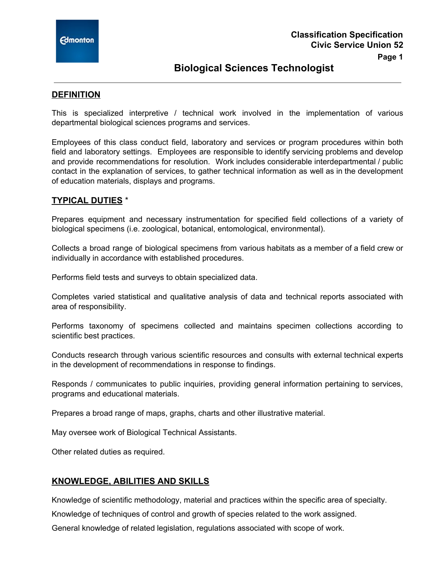

# **Biological Sciences Technologist**

### **DEFINITION**

This is specialized interpretive / technical work involved in the implementation of various departmental biological sciences programs and services.

Employees of this class conduct field, laboratory and services or program procedures within both field and laboratory settings. Employees are responsible to identify servicing problems and develop and provide recommendations for resolution. Work includes considerable interdepartmental / public contact in the explanation of services, to gather technical information as well as in the development of education materials, displays and programs.

### **TYPICAL DUTIES** \*

Prepares equipment and necessary instrumentation for specified field collections of a variety of biological specimens (i.e. zoological, botanical, entomological, environmental).

Collects a broad range of biological specimens from various habitats as a member of a field crew or individually in accordance with established procedures.

Performs field tests and surveys to obtain specialized data.

Completes varied statistical and qualitative analysis of data and technical reports associated with area of responsibility.

Performs taxonomy of specimens collected and maintains specimen collections according to scientific best practices.

Conducts research through various scientific resources and consults with external technical experts in the development of recommendations in response to findings.

Responds / communicates to public inquiries, providing general information pertaining to services, programs and educational materials.

Prepares a broad range of maps, graphs, charts and other illustrative material.

May oversee work of Biological Technical Assistants.

Other related duties as required.

#### **KNOWLEDGE, ABILITIES AND SKILLS**

Knowledge of scientific methodology, material and practices within the specific area of specialty.

Knowledge of techniques of control and growth of species related to the work assigned.

General knowledge of related legislation, regulations associated with scope of work.